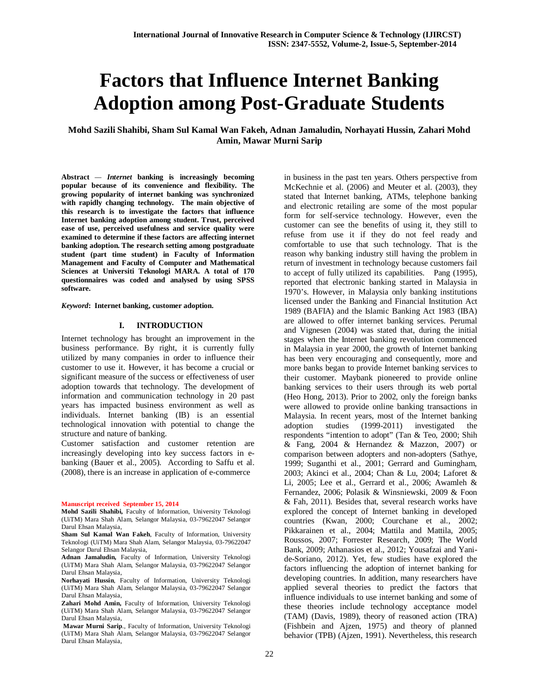# **Factors that Influence Internet Banking Adoption among Post-Graduate Students**

**Mohd Sazili Shahibi, Sham Sul Kamal Wan Fakeh, Adnan Jamaludin, Norhayati Hussin, Zahari Mohd Amin, Mawar Murni Sarip**

**Abstract** *— Internet* **banking is increasingly becoming popular because of its convenience and flexibility. The growing popularity of internet banking was synchronized with rapidly changing technology. The main objective of this research is to investigate the factors that influence Internet banking adoption among student. Trust, perceived ease of use, perceived usefulness and service quality were examined to determine if these factors are affecting internet banking adoption. The research setting among postgraduate student (part time student) in Faculty of Information Management and Faculty of Computer and Mathematical Sciences at Universiti Teknologi MARA. A total of 170 questionnaires was coded and analysed by using SPSS software.** 

*Keyword***: Internet banking, customer adoption.** 

#### **I. INTRODUCTION**

Internet technology has brought an improvement in the business performance. By right, it is currently fully utilized by many companies in order to influence their customer to use it. However, it has become a crucial or significant measure of the success or effectiveness of user adoption towards that technology. The development of information and communication technology in 20 past years has impacted business environment as well as individuals. Internet banking (IB) is an essential technological innovation with potential to change the structure and nature of banking.

Customer satisfaction and customer retention are increasingly developing into key success factors in ebanking (Bauer et al., 2005). According to Saffu et al. (2008), there is an increase in application of e-commerce

**Manuscript received September 15, 2014**

- **Mohd Sazili Shahibi,** Faculty of Information, University Teknologi (UiTM) Mara Shah Alam, Selangor Malaysia, 03-79622047 Selangor Darul Ehsan Malaysia,
- **Sham Sul Kamal Wan Fakeh**, Faculty of Information, University Teknologi (UiTM) Mara Shah Alam, Selangor Malaysia, 03-79622047 Selangor Darul Ehsan Malaysia,
- **Adnan Jamaludin,** Faculty of Information, University Teknologi (UiTM) Mara Shah Alam, Selangor Malaysia, 03-79622047 Selangor Darul Ehsan Malaysia,

**Norhayati Hussin**, Faculty of Information, University Teknologi (UiTM) Mara Shah Alam, Selangor Malaysia, 03-79622047 Selangor Darul Ehsan Malaysia,

**Zahari Mohd Amin,** Faculty of Information, University Teknologi (UiTM) Mara Shah Alam, Selangor Malaysia, 03-79622047 Selangor Darul Ehsan Malaysia,

**Mawar Murni Sarip**., Faculty of Information, University Teknologi (UiTM) Mara Shah Alam, Selangor Malaysia, 03-79622047 Selangor Darul Ehsan Malaysia,

in business in the past ten years. Others perspective from McKechnie et al. (2006) and Meuter et al. (2003), they stated that Internet banking, ATMs, telephone banking and electronic retailing are some of the most popular form for self-service technology. However, even the customer can see the benefits of using it, they still to refuse from use it if they do not feel ready and comfortable to use that such technology. That is the reason why banking industry still having the problem in return of investment in technology because customers fail to accept of fully utilized its capabilities. Pang (1995), reported that electronic banking started in Malaysia in 1970's. However, in Malaysia only banking institutions licensed under the Banking and Financial Institution Act 1989 (BAFIA) and the Islamic Banking Act 1983 (IBA) are allowed to offer internet banking services. Perumal and Vignesen (2004) was stated that, during the initial stages when the Internet banking revolution commenced in Malaysia in year 2000, the growth of Internet banking has been very encouraging and consequently, more and more banks began to provide Internet banking services to their customer. Maybank pioneered to provide online banking services to their users through its web portal (Heo Hong, 2013). Prior to 2002, only the foreign banks were allowed to provide online banking transactions in Malaysia. In recent years, most of the Internet banking adoption studies (1999-2011) investigated the respondents "intention to adopt" (Tan & Teo, 2000; Shih & Fang, 2004 & Hernandez & Mazzon, 2007) or comparison between adopters and non-adopters (Sathye, 1999; Suganthi et al., 2001; Gerrard and Gumingham, 2003; Akinci et al., 2004; Chan & Lu, 2004; Laforet & Li, 2005; Lee et al., Gerrard et al., 2006; Awamleh  $\&$ Fernandez, 2006; Polasik & Winsniewski, 2009 & Foon & Fah, 2011). Besides that, several research works have explored the concept of Internet banking in developed countries (Kwan, 2000; Courchane et al., 2002; Pikkarainen et al., 2004; Mattila and Mattila, 2005; Roussos, 2007; Forrester Research, 2009; The World Bank, 2009; Athanasios et al., 2012; Yousafzai and Yanide-Soriano, 2012). Yet, few studies have explored the factors influencing the adoption of internet banking for developing countries. In addition, many researchers have applied several theories to predict the factors that influence individuals to use internet banking and some of these theories include technology acceptance model (TAM) (Davis, 1989), theory of reasoned action (TRA) (Fishbein and Ajzen, 1975) and theory of planned behavior (TPB) (Ajzen, 1991). Nevertheless, this research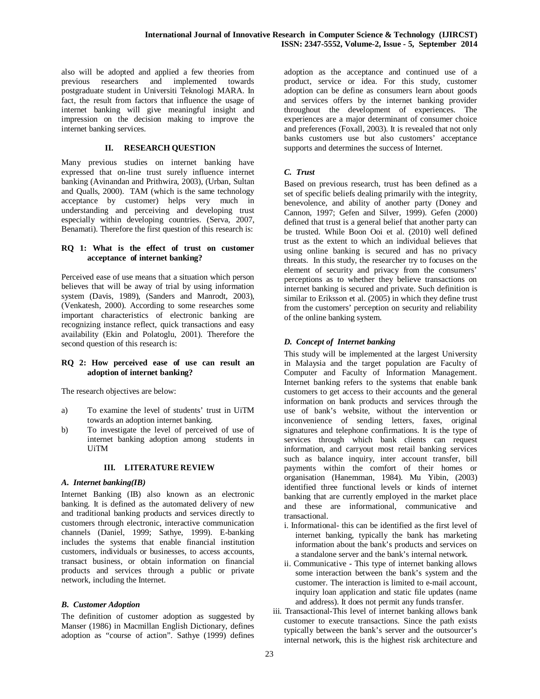also will be adopted and applied a few theories from previous researchers and implemented towards postgraduate student in Universiti Teknologi MARA. In fact, the result from factors that influence the usage of internet banking will give meaningful insight and impression on the decision making to improve the internet banking services.

### **II. RESEARCH QUESTION**

Many previous studies on internet banking have expressed that on-line trust surely influence internet banking (Avinandan and Prithwira, 2003), (Urban, Sultan and Qualls, 2000). TAM (which is the same technology acceptance by customer) helps very much in understanding and perceiving and developing trust especially within developing countries. (Serva, 2007, Benamati). Therefore the first question of this research is:

## **RQ 1: What is the effect of trust on customer acceptance of internet banking?**

Perceived ease of use means that a situation which person believes that will be away of trial by using information system (Davis, 1989), (Sanders and Manrodt, 2003), (Venkatesh, 2000). According to some researches some important characteristics of electronic banking are recognizing instance reflect, quick transactions and easy availability (Ekin and Polatoglu, 2001). Therefore the second question of this research is:

#### **RQ 2: How perceived ease of use can result an adoption of internet banking?**

The research objectives are below:

- a) To examine the level of students' trust in UiTM towards an adoption internet banking.
- b) To investigate the level of perceived of use of internet banking adoption among students in UiTM

# **III. LITERATURE REVIEW**

#### *A. Internet banking(IB)*

Internet Banking (IB) also known as an electronic banking. It is defined as the automated delivery of new and traditional banking products and services directly to customers through electronic, interactive communication channels (Daniel, 1999; Sathye, 1999). E-banking includes the systems that enable financial institution customers, individuals or businesses, to access accounts, transact business, or obtain information on financial products and services through a public or private network, including the Internet.

# *B. Customer Adoption*

The definition of customer adoption as suggested by Manser (1986) in Macmillan English Dictionary, defines adoption as "course of action". Sathye (1999) defines adoption as the acceptance and continued use of a product, service or idea. For this study, customer adoption can be define as consumers learn about goods and services offers by the internet banking provider throughout the development of experiences. The experiences are a major determinant of consumer choice and preferences (Foxall, 2003). It is revealed that not only banks customers use but also customers' acceptance supports and determines the success of Internet.

# *C. Trust*

Based on previous research, trust has been defined as a set of specific beliefs dealing primarily with the integrity, benevolence, and ability of another party (Doney and Cannon, 1997; Gefen and Silver, 1999). Gefen (2000) defined that trust is a general belief that another party can be trusted. While Boon Ooi et al. (2010) well defined trust as the extent to which an individual believes that using online banking is secured and has no privacy threats. In this study, the researcher try to focuses on the element of security and privacy from the consumers' perceptions as to whether they believe transactions on internet banking is secured and private. Such definition is similar to Eriksson et al. (2005) in which they define trust from the customers' perception on security and reliability of the online banking system.

## *D. Concept of Internet banking*

This study will be implemented at the largest University in Malaysia and the target population are Faculty of Computer and Faculty of Information Management. Internet banking refers to the systems that enable bank customers to get access to their accounts and the general information on bank products and services through the use of bank's website, without the intervention or inconvenience of sending letters, faxes, original signatures and telephone confirmations. It is the type of services through which bank clients can request information, and carryout most retail banking services such as balance inquiry, inter account transfer, bill payments within the comfort of their homes or organisation (Hanemman, 1984). Mu Yibin, (2003) identified three functional levels or kinds of internet banking that are currently employed in the market place and these are informational, communicative and transactional.

- i. Informational- this can be identified as the first level of internet banking, typically the bank has marketing information about the bank's products and services on a standalone server and the bank's internal network.
- ii. Communicative This type of internet banking allows some interaction between the bank's system and the customer. The interaction is limited to e-mail account, inquiry loan application and static file updates (name and address). It does not permit any funds transfer.
- iii. Transactional-This level of internet banking allows bank customer to execute transactions. Since the path exists typically between the bank's server and the outsourcer's internal network, this is the highest risk architecture and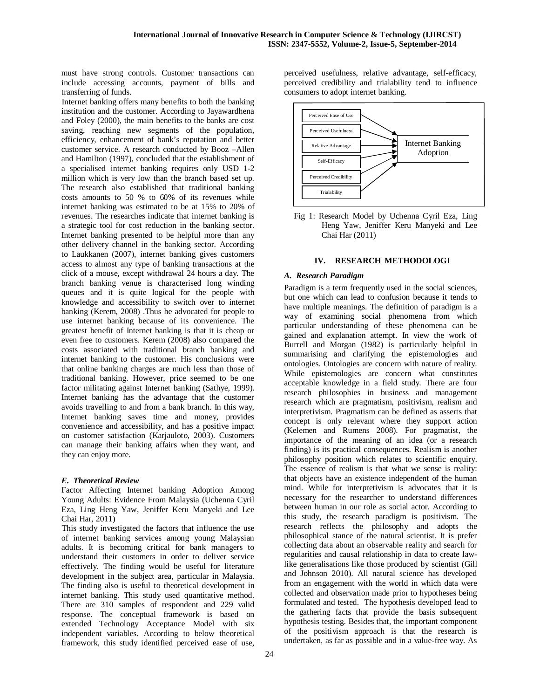must have strong controls. Customer transactions can include accessing accounts, payment of bills and transferring of funds.

Internet banking offers many benefits to both the banking institution and the customer. According to Jayawardhena and Foley (2000), the main benefits to the banks are cost saving, reaching new segments of the population, efficiency, enhancement of bank's reputation and better customer service. A research conducted by Booz –Allen and Hamilton (1997), concluded that the establishment of a specialised internet banking requires only USD 1-2 million which is very low than the branch based set up. The research also established that traditional banking costs amounts to 50 % to 60% of its revenues while internet banking was estimated to be at 15% to 20% of revenues. The researches indicate that internet banking is a strategic tool for cost reduction in the banking sector. Internet banking presented to be helpful more than any other delivery channel in the banking sector. According to Laukkanen (2007), internet banking gives customers access to almost any type of banking transactions at the click of a mouse, except withdrawal 24 hours a day. The branch banking venue is characterised long winding queues and it is quite logical for the people with knowledge and accessibility to switch over to internet banking (Kerem, 2008) .Thus he advocated for people to use internet banking because of its convenience. The greatest benefit of Internet banking is that it is cheap or even free to customers. Kerem (2008) also compared the costs associated with traditional branch banking and internet banking to the customer. His conclusions were that online banking charges are much less than those of traditional banking. However, price seemed to be one factor militating against Internet banking (Sathye, 1999). Internet banking has the advantage that the customer avoids travelling to and from a bank branch. In this way, Internet banking saves time and money, provides convenience and accessibility, and has a positive impact on customer satisfaction (Karjauloto, 2003). Customers can manage their banking affairs when they want, and they can enjoy more.

#### *E. Theoretical Review*

Factor Affecting Internet banking Adoption Among Young Adults: Evidence From Malaysia (Uchenna Cyril Eza, Ling Heng Yaw, Jeniffer Keru Manyeki and Lee Chai Har, 2011)

This study investigated the factors that influence the use of internet banking services among young Malaysian adults. It is becoming critical for bank managers to understand their customers in order to deliver service effectively. The finding would be useful for literature development in the subject area, particular in Malaysia. The finding also is useful to theoretical development in internet banking. This study used quantitative method. There are 310 samples of respondent and 229 valid response. The conceptual framework is based on extended Technology Acceptance Model with six independent variables. According to below theoretical framework, this study identified perceived ease of use,

perceived usefulness, relative advantage, self-efficacy, perceived credibility and trialability tend to influence consumers to adopt internet banking.



Fig 1: Research Model by Uchenna Cyril Eza, Ling Heng Yaw, Jeniffer Keru Manyeki and Lee Chai Har (2011)

## **IV. RESEARCH METHODOLOGI**

## *A. Research Paradigm*

Paradigm is a term frequently used in the social sciences, but one which can lead to confusion because it tends to have multiple meanings. The definition of paradigm is a way of examining social phenomena from which particular understanding of these phenomena can be gained and explanation attempt. In view the work of Burrell and Morgan (1982) is particularly helpful in summarising and clarifying the epistemologies and ontologies. Ontologies are concern with nature of reality. While epistemologies are concern what constitutes acceptable knowledge in a field study. There are four research philosophies in business and management research which are pragmatism, positivism, realism and interpretivism. Pragmatism can be defined as asserts that concept is only relevant where they support action (Kelemen and Rumens 2008). For pragmatist, the importance of the meaning of an idea (or a research finding) is its practical consequences. Realism is another philosophy position which relates to scientific enquiry. The essence of realism is that what we sense is reality: that objects have an existence independent of the human mind. While for interpretivism is advocates that it is necessary for the researcher to understand differences between human in our role as social actor. According to this study, the research paradigm is positivism. The research reflects the philosophy and adopts the philosophical stance of the natural scientist. It is prefer collecting data about an observable reality and search for regularities and causal relationship in data to create lawlike generalisations like those produced by scientist (Gill and Johnson 2010). All natural science has developed from an engagement with the world in which data were collected and observation made prior to hypotheses being formulated and tested. The hypothesis developed lead to the gathering facts that provide the basis subsequent hypothesis testing. Besides that, the important component of the positivism approach is that the research is undertaken, as far as possible and in a value-free way. As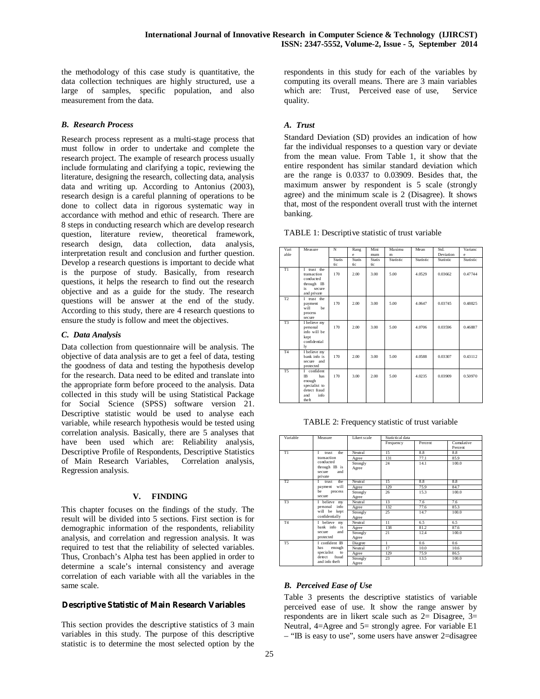the methodology of this case study is quantitative, the data collection techniques are highly structured, use a large of samples, specific population, and also measurement from the data.

### *B. Research Process*

Research process represent as a multi-stage process that must follow in order to undertake and complete the research project. The example of research process usually include formulating and clarifying a topic, reviewing the literature, designing the research, collecting data, analysis data and writing up. According to Antonius (2003), research design is a careful planning of operations to be done to collect data in rigorous systematic way in accordance with method and ethic of research. There are 8 steps in conducting research which are develop research question, literature review, theoretical framework, research design, data collection, data analysis, interpretation result and conclusion and further question. Develop a research questions is important to decide what is the purpose of study. Basically, from research questions, it helps the research to find out the research objective and as a guide for the study. The research questions will be answer at the end of the study. According to this study, there are 4 research questions to ensure the study is follow and meet the objectives.

#### *C. Data Analysis*

Data collection from questionnaire will be analysis. The objective of data analysis are to get a feel of data, testing the goodness of data and testing the hypothesis develop for the research. Data need to be edited and translate into the appropriate form before proceed to the analysis. Data collected in this study will be using Statistical Package for Social Science (SPSS) software version 21. Descriptive statistic would be used to analyse each variable, while research hypothesis would be tested using correlation analysis. Basically, there are 5 analyses that have been used which are: Reliability analysis, Descriptive Profile of Respondents, Descriptive Statistics of Main Research Variables, Correlation analysis, Regression analysis.

# **V. FINDING**

This chapter focuses on the findings of the study. The result will be divided into 5 sections. First section is for demographic information of the respondents, reliability analysis, and correlation and regression analysis. It was required to test that the reliability of selected variables. Thus, Cronbach's Alpha test has been applied in order to determine a scale's internal consistency and average correlation of each variable with all the variables in the same scale.

# **Descriptive Statistic of Main Research Variables**

This section provides the descriptive statistics of 3 main variables in this study. The purpose of this descriptive statistic is to determine the most selected option by the

respondents in this study for each of the variables by computing its overall means. There are 3 main variables which are: Trust, Perceived ease of use, Service quality.

## *A. Trust*

Standard Deviation (SD) provides an indication of how far the individual responses to a question vary or deviate from the mean value. From Table 1, it show that the entire respondent has similar standard deviation which are the range is 0.0337 to 0.03909. Besides that, the maximum answer by respondent is 5 scale (strongly agree) and the minimum scale is 2 (Disagree). It shows that, most of the respondent overall trust with the internet banking.

TABLE 1: Descriptive statistic of trust variable

| Vari           | Measure                                                                                              | Ν             | Rang          | Mini          | Maximu    | Mean      | Std.      | Varianc   |
|----------------|------------------------------------------------------------------------------------------------------|---------------|---------------|---------------|-----------|-----------|-----------|-----------|
| able           |                                                                                                      |               | e             | mum           | m         |           | Deviation | e         |
|                |                                                                                                      | <b>Statis</b> | <b>Statis</b> | <b>Statis</b> | Statistic | Statistic | Statistic | Statistic |
|                |                                                                                                      | tic.          | tic           | tic           |           |           |           |           |
| T1             | trust the<br>L<br>transaction<br>conducted<br>through IB<br>is<br>secure                             | 170           | 2.00          | 3.00          | 5.00      | 4.0529    | 0.03662   | 0.47744   |
|                | and private                                                                                          |               |               |               |           |           |           |           |
| T2             | I trust the<br>payment<br>will<br>be.<br>process<br>secure                                           | 170           | 2.00          | 3.00          | 5.00      | 4.0647    | 0.03745   | 0.48825   |
| T <sub>3</sub> | I believe my<br>personal<br>info will be<br>kept<br>confidential<br>ly                               | 170           | 2.00          | 3.00          | 5.00      | 4.0706    | 0.03596   | 0.46887   |
| T <sub>4</sub> | I believe my<br>bank info is<br>secure and<br>protected                                              | 170           | 2.00          | 3.00          | 5.00      | 4.0588    | 0.03307   | 0.43112   |
| T <sub>5</sub> | I confident<br>$_{\rm IB}$<br>has<br>enough<br>specialist to<br>detect fraud<br>info<br>and<br>theft | 170           | 3.00          | 2.00          | 5.00      | 4.0235    | 0.03909   | 0.50970   |

TABLE 2: Frequency statistic of trust variable

| Variable       | Measure                                   | Likert scale      | Statictical data |         |                       |  |
|----------------|-------------------------------------------|-------------------|------------------|---------|-----------------------|--|
|                |                                           |                   | <b>Frequency</b> | Percent | Cumulative<br>Percent |  |
| T1             | the<br>trust                              | Neutral           | 15               | 8.8     | 8.8                   |  |
|                | transaction                               | Agree             | 131              | 77.1    | 85.9                  |  |
|                | conducted                                 | Strongly          | 24               | 14.1    | 100.0                 |  |
|                | through IB is<br>and<br>secure<br>private | Agree             |                  |         |                       |  |
| T <sub>2</sub> | the<br>trust                              | Neutral           | 15               | 8.8     | 8.8                   |  |
|                | will<br>payment                           | Agree             | 129              | 75.9    | 84.7                  |  |
|                | be<br>process                             | Strongly          | 26               | 15.3    | 100.0                 |  |
|                | secure                                    | Agree             |                  |         |                       |  |
| T <sub>3</sub> | I believe my                              | Neutral           | $\overline{13}$  | 7.6     | 7.6                   |  |
|                | personal<br>info                          | Agree             | 132              | 77.6    | 85.3                  |  |
|                | will be kept<br>confidentially            | Strongly<br>Agree | 25               | 14.7    | 100.0                 |  |
| T <sub>4</sub> | I believe mv                              | Neutral           | 11               | 6.5     | 6.5                   |  |
|                | bank info is                              | Agree             | 138              | 81.2    | 87.6                  |  |
|                | and<br>secure<br>protected                | Strongly<br>Agree | 21               | 12.4    | 100.0                 |  |
| T5             | I confident IB                            | Diagree           | $\mathbf{1}$     | 0.6     | 0.6                   |  |
|                | enough<br>has                             | Neutral           | 17               | 10.0    | 10.6                  |  |
|                | specialist<br>to                          | Agree             | 129              | 75.9    | 86.5                  |  |
|                | fraud<br>detect<br>and info theft         | Strongly<br>Agree | 23               | 13.5    | 100.0                 |  |

# *B. Perceived Ease of Use*

Table 3 presents the descriptive statistics of variable perceived ease of use. It show the range answer by respondents are in likert scale such as  $2=$  Disagree,  $3=$ Neutral, 4=Agree and 5= strongly agree. For variable E1 – "IB is easy to use", some users have answer 2=disagree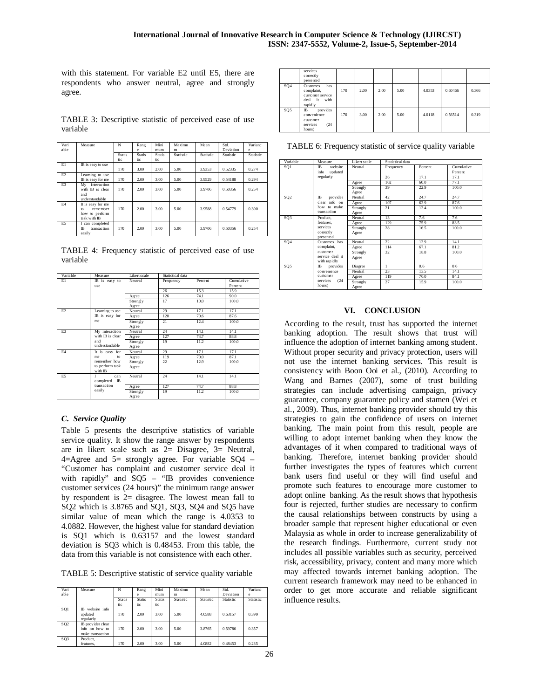with this statement. For variable E2 until E5, there are respondents who answer neutral, agree and strongly agree.

|          | TABLE 3: Descriptive statistic of perceived ease of use |  |  |  |
|----------|---------------------------------------------------------|--|--|--|
| variable |                                                         |  |  |  |

| Vari<br>able | Measure                                                               | N                    | Rang<br>e            | Mini<br>mum          | Maximu<br>m | Mean      | Std.<br>Deviation | Varianc<br>e |
|--------------|-----------------------------------------------------------------------|----------------------|----------------------|----------------------|-------------|-----------|-------------------|--------------|
|              |                                                                       | <b>Statis</b><br>tic | <b>Statis</b><br>tic | <b>Statis</b><br>tic | Statistic   | Statistic | Statistic         | Statistic    |
| E1           | IB is easy to use                                                     | 170                  | 3.00                 | 2.00                 | 5.00        | 3.9353    | 0.52335           | 0.274        |
| E2           | Learning to use<br>IB is easy for me                                  | 170                  | 2.00                 | 3.00                 | 5.00        | 3.9529    | 0.54188           | 0.294        |
| E3           | My interaction<br>with IB is clear<br>and<br>understandable           | 170                  | 2.00                 | 3.00                 | 5.00        | 3.9706    | 0.50356           | 0.254        |
| E4           | It is easy for me<br>remember<br>to<br>how to perform<br>task with IB | 170                  | 2.00                 | 3.00                 | 5.00        | 3.9588    | 0.54779           | 0.300        |
| E5           | I can completed<br>$_{\rm IR}$<br>transaction<br>easily               | 170                  | 2.00                 | 3.00                 | 5.00        | 3.9706    | 0.50356           | 0.254        |

TABLE 4: Frequency statistic of perceived ease of use variable

| Variable       | Measure                                    | Likert scale      | Statictical data |         |            |
|----------------|--------------------------------------------|-------------------|------------------|---------|------------|
| EI             | IB is easy to                              | Neutral           | Frequency        | Percent | Cumulative |
|                | use                                        |                   |                  |         | Percent    |
|                |                                            |                   | 26               | 15.3    | 15.9       |
|                |                                            | Agree             | 126              | 74.1    | 90.0       |
|                |                                            | Strongly<br>Agree | 17               | 10.0    | 100.0      |
| E <sub>2</sub> | Learning to use                            | Neutral           | 29               | 17.1    | 17.1       |
|                | IB is easy for                             | Agree             | 120              | 70.6    | 87.6       |
|                | <sub>me</sub>                              | Strongly<br>Agree | 21               | 12.4    | 100.0      |
| E3             | My interaction                             | Neutral           | 24               | 14.1    | 14.1       |
|                | with IB is clear<br>and<br>understandable  | Agree             | 127              | 74.7    | 88.8       |
|                |                                            | Strongly<br>Agree | 19               | 11.2    | 100.0      |
| E4             | It is easy for                             | Neutral           | 29               | 17.1    | 17.1       |
|                | to<br>me.                                  | Agree             | 119              | 70.0    | 87.1       |
|                | remember how<br>to perform task<br>with IB | Strongly<br>Agree | 22               | 12.9    | 100.0      |
| E5             | can<br>completed IB                        | Neutral           | 24               | 14.1    | 14.1       |
|                | transaction                                | Agree             | 127              | 74.7    | 88.8       |
|                | easily                                     | Strongly<br>Agree | 19               | 11.2    | 100.0      |

#### *C. Service Quality*

Table 5 presents the descriptive statistics of variable service quality. It show the range answer by respondents are in likert scale such as 2= Disagree, 3= Neutral, 4=Agree and  $5$ = strongly agree. For variable  $SQ4$  – "Customer has complaint and customer service deal it with rapidly" and SQ5 – "IB provides convenience customer services (24 hours)" the minimum range answer by respondent is  $2=$  disagree. The lowest mean fall to SQ2 which is 3.8765 and SQ1, SQ3, SQ4 and SQ5 have similar value of mean which the range is 4.0353 to 4.0882. However, the highest value for standard deviation is SQ1 which is 0.63157 and the lowest standard deviation is SQ3 which is 0.48453. From this table, the data from this variable is not consistence with each other.

TABLE 5: Descriptive statistic of service quality variable

| Vari<br>able    | Measure                                                 | N                    | Rang<br>e            | Mini<br>mum          | Maximu<br>m | Mean      | Std.<br>Deviation | Varianc<br>e. |
|-----------------|---------------------------------------------------------|----------------------|----------------------|----------------------|-------------|-----------|-------------------|---------------|
|                 |                                                         | <b>Statis</b><br>tic | <b>Statis</b><br>tiс | <b>Statis</b><br>tic | Statistic   | Statistic | Statistic         | Statistic     |
| SQ1             | website info<br>$_{\rm IR}$<br>updated<br>re gularly    | 170                  | 2.00                 | 3.00                 | 5.00        | 4.0588    | 0.63157           | 0.399         |
| SQ <sub>2</sub> | IB provider clear<br>info on how to<br>make transaction | 170                  | 2.00                 | 3.00                 | 5.00        | 3.8765    | 0.59786           | 0.357         |
| SQ <sub>3</sub> | Product.<br>features.                                   | 170                  | 2.00                 | 3.00                 | 5.00        | 4.0882    | 0.48453           | 0.235         |

|     | services<br>correctly<br>presented                                                     |     |      |      |      |        |         |       |
|-----|----------------------------------------------------------------------------------------|-----|------|------|------|--------|---------|-------|
| SQ4 | has<br><b>Customes</b><br>complaint,<br>customer service<br>deal it<br>with<br>rapidly | 170 | 2.00 | 2.00 | 5.00 | 4.0353 | 0.60466 | 0.366 |
| SQ5 | IB<br>provides<br>convenience<br>customer<br>(24)<br>services<br>hours)                | 170 | 3.00 | 2.00 | 5.00 | 4.0118 | 0.56514 | 0.319 |

TABLE 6: Frequency statistic of service quality variable

| Variable        | Measure                                      | Likert scale      | Statictical data |         |                       |
|-----------------|----------------------------------------------|-------------------|------------------|---------|-----------------------|
| SQ <sub>1</sub> | $\overline{B}$<br>website<br>updated<br>info | Neutral           | Frequency        | Percent | Cumulative<br>Percent |
|                 | regularly                                    |                   | 26               | 17.1    | 17.1                  |
|                 |                                              | Agree             | 102              | 60.0    | 77.1                  |
|                 |                                              | Strongly<br>Agree | 39               | 22.9    | 100.0                 |
| SO <sub>2</sub> | provider<br>$_{\rm IB}$                      | Neutral           | 42               | 24.7    | 24.7                  |
|                 | clear info on                                | Agree             | 107              | 62.9    | 87.6                  |
|                 | how to make<br>transaction                   | Strongly<br>Agree | 21               | 12.4    | 100.0                 |
| SQ <sub>3</sub> | Product,                                     | Neutral           | 13               | 7.6     | 7.6                   |
|                 | features.                                    | Agree             | 129              | 75.9    | 83.5                  |
|                 | services<br>correctly<br>presented           | Strongly<br>Agree | 28               | 16.5    | 100.0                 |
| SQ4             | has<br><b>Customes</b>                       | Neutral           | 22.              | 12.9    | 14.1                  |
|                 | complaint,                                   | Agree             | 114              | 67.1    | 81.2                  |
|                 | customer<br>service deal it<br>with rapidly  | Strongly<br>Agree | 32               | 18.8    | 100.0                 |
| SQ <sub>5</sub> | <b>IB</b><br>provides                        | Diagree           | $\mathbf{1}$     | 0.6     | 0.6                   |
|                 | convenience                                  | Neutral           | 23               | 13.5    | 14.1                  |
|                 | customer                                     | Agree             | 119              | 70.0    | 84.1                  |
|                 | services<br>(24)<br>hours)                   | Strongly<br>Agree | 27               | 15.9    | 100.0                 |

## **VI. CONCLUSION**

According to the result, trust has supported the internet banking adoption. The result shows that trust will influence the adoption of internet banking among student. Without proper security and privacy protection, users will not use the internet banking services. This result is consistency with Boon Ooi et al., (2010). According to Wang and Barnes (2007), some of trust building strategies can include advertising campaign, privacy guarantee, company guarantee policy and stamen (Wei et al., 2009). Thus, internet banking provider should try this strategies to gain the confidence of users on internet banking. The main point from this result, people are willing to adopt internet banking when they know the advantages of it when compared to traditional ways of banking. Therefore, internet banking provider should further investigates the types of features which current bank users find useful or they will find useful and promote such features to encourage more customer to adopt online banking. As the result shows that hypothesis four is rejected, further studies are necessary to confirm the causal relationships between constructs by using a broader sample that represent higher educational or even Malaysia as whole in order to increase generalizability of the research findings. Furthermore, current study not includes all possible variables such as security, perceived risk, accessibility, privacy, content and many more which may affected towards internet banking adoption. The current research framework may need to be enhanced in order to get more accurate and reliable significant influence results.